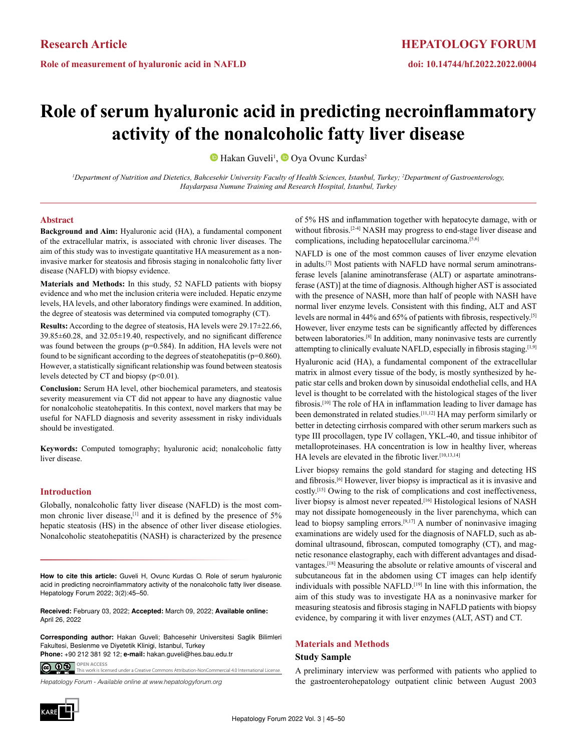**Role of measurement of hyaluronic acid in NAFLD**

# **HEPATOLOGY FORUM**

# **doi: 10.14744/hf.2022.2022.0004**

# **Role of serum hyaluronic acid in predicting necroinflammatory activity of the nonalcoholic fatty liver disease**

HakanGuveli<sup>1</sup>, **O** Oya Ovunc Kurdas<sup>2</sup>

<sup>*l*</sup> Department of Nutrition and Dietetics, Bahcesehir University Faculty of Health Sciences, Istanbul, Turkey; <sup>2</sup>Department of Gastroenterology, *Haydarpasa Numune Training and Research Hospital, Istanbul, Turkey*

## **Abstract**

**Background and Aim:** Hyaluronic acid (HA), a fundamental component of the extracellular matrix, is associated with chronic liver diseases. The aim of this study was to investigate quantitative HA measurement as a noninvasive marker for steatosis and fibrosis staging in nonalcoholic fatty liver disease (NAFLD) with biopsy evidence.

**Materials and Methods:** In this study, 52 NAFLD patients with biopsy evidence and who met the inclusion criteria were included. Hepatic enzyme levels, HA levels, and other laboratory findings were examined. In addition, the degree of steatosis was determined via computed tomography (CT).

**Results:** According to the degree of steatosis, HA levels were 29.17±22.66, 39.85±60.28, and 32.05±19.40, respectively, and no significant difference was found between the groups (p=0.584). In addition, HA levels were not found to be significant according to the degrees of steatohepatitis (p=0.860). However, a statistically significant relationship was found between steatosis levels detected by CT and biopsy  $(p<0.01)$ .

**Conclusion:** Serum HA level, other biochemical parameters, and steatosis severity measurement via CT did not appear to have any diagnostic value for nonalcoholic steatohepatitis. In this context, novel markers that may be useful for NAFLD diagnosis and severity assessment in risky individuals should be investigated.

**Keywords:** Computed tomography; hyaluronic acid; nonalcoholic fatty liver disease.

### **Introduction**

Globally, nonalcoholic fatty liver disease (NAFLD) is the most common chronic liver disease,  $\left[1\right]$  and it is defined by the presence of 5% hepatic steatosis (HS) in the absence of other liver disease etiologies. Nonalcoholic steatohepatitis (NASH) is characterized by the presence

**How to cite this article:** Guveli H, Ovunc Kurdas O. Role of serum hyaluronic acid in predicting necroinflammatory activity of the nonalcoholic fatty liver disease. Hepatology Forum 2022; 3(2):45–50.

**Received:** February 03, 2022; **Accepted:** March 09, 2022; **Available online:** April 26, 2022

**Corresponding author:** Hakan Guveli; Bahcesehir Universitesi Saglik Bilimleri Fakultesi, Beslenme ve Diyetetik Klinigi, Istanbul, Turkey **Phone:** +90 212 381 92 12; **e-mail:** hakan.guveli@hes.bau.edu.tr

**OPEN ACCESS** <u>@ 00 </u> This work is licensed under a Creative Commons Attribution-NonCommer

*Hepatology Forum - Available online at www.hepatologyforum.org*



of 5% HS and inflammation together with hepatocyte damage, with or without fibrosis.<sup>[2-4]</sup> NASH may progress to end-stage liver disease and complications, including hepatocellular carcinoma.<sup>[5,6]</sup>

NAFLD is one of the most common causes of liver enzyme elevation in adults.[7] Most patients with NAFLD have normal serum aminotransferase levels [alanine aminotransferase (ALT) or aspartate aminotransferase (AST)] at the time of diagnosis. Although higher AST is associated with the presence of NASH, more than half of people with NASH have normal liver enzyme levels. Consistent with this finding, ALT and AST levels are normal in 44% and 65% of patients with fibrosis, respectively.[5] However, liver enzyme tests can be significantly affected by differences between laboratories.[8] In addition, many noninvasive tests are currently attempting to clinically evaluate NAFLD, especially in fibrosis staging.<sup>[1,9]</sup>

Hyaluronic acid (HA), a fundamental component of the extracellular matrix in almost every tissue of the body, is mostly synthesized by hepatic star cells and broken down by sinusoidal endothelial cells, and HA level is thought to be correlated with the histological stages of the liver fibrosis.[10] The role of HA in inflammation leading to liver damage has been demonstrated in related studies.[11,12] HA may perform similarly or better in detecting cirrhosis compared with other serum markers such as type III procollagen, type IV collagen, YKL-40, and tissue inhibitor of metalloproteinases. HA concentration is low in healthy liver, whereas HA levels are elevated in the fibrotic liver.[10,13,14]

Liver biopsy remains the gold standard for staging and detecting HS and fibrosis.[6] However, liver biopsy is impractical as it is invasive and costly.[15] Owing to the risk of complications and cost ineffectiveness, liver biopsy is almost never repeated.<sup>[16]</sup> Histological lesions of NASH may not dissipate homogeneously in the liver parenchyma, which can lead to biopsy sampling errors.[9,17] A number of noninvasive imaging examinations are widely used for the diagnosis of NAFLD, such as abdominal ultrasound, fibroscan, computed tomography (CT), and magnetic resonance elastography, each with different advantages and disadvantages.[18] Measuring the absolute or relative amounts of visceral and subcutaneous fat in the abdomen using CT images can help identify individuals with possible NAFLD.[19] In line with this information, the aim of this study was to investigate HA as a noninvasive marker for measuring steatosis and fibrosis staging in NAFLD patients with biopsy evidence, by comparing it with liver enzymes (ALT, AST) and CT.

### **Materials and Methods**

#### **Study Sample**

A preliminary interview was performed with patients who applied to the gastroenterohepatology outpatient clinic between August 2003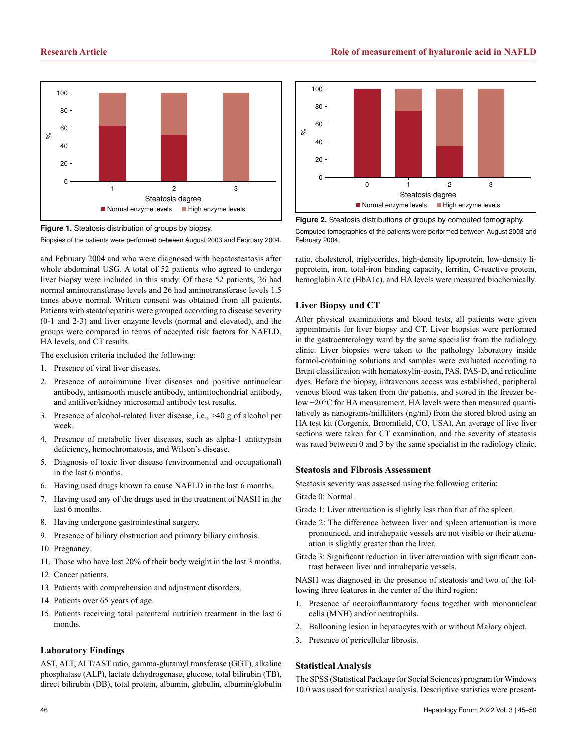

**Figure 1.** Steatosis distribution of groups by biopsy. Biopsies of the patients were performed between August 2003 and February 2004.

and February 2004 and who were diagnosed with hepatosteatosis after whole abdominal USG. A total of 52 patients who agreed to undergo liver biopsy were included in this study. Of these 52 patients, 26 had normal aminotransferase levels and 26 had aminotransferase levels 1.5 times above normal. Written consent was obtained from all patients. Patients with steatohepatitis were grouped according to disease severity (0-1 and 2-3) and liver enzyme levels (normal and elevated), and the groups were compared in terms of accepted risk factors for NAFLD, HA levels, and CT results.

The exclusion criteria included the following:

- 1. Presence of viral liver diseases.
- 2. Presence of autoimmune liver diseases and positive antinuclear antibody, antismooth muscle antibody, antimitochondrial antibody, and antiliver/kidney microsomal antibody test results.
- 3. Presence of alcohol-related liver disease, i.e., >40 g of alcohol per week.
- 4. Presence of metabolic liver diseases, such as alpha-1 antitrypsin deficiency, hemochromatosis, and Wilson's disease.
- 5. Diagnosis of toxic liver disease (environmental and occupational) in the last 6 months.
- 6. Having used drugs known to cause NAFLD in the last 6 months.
- 7. Having used any of the drugs used in the treatment of NASH in the last 6 months.
- 8. Having undergone gastrointestinal surgery.
- 9. Presence of biliary obstruction and primary biliary cirrhosis.
- 10. Pregnancy.
- 11. Those who have lost 20% of their body weight in the last 3 months.
- 12. Cancer patients.
- 13. Patients with comprehension and adjustment disorders.
- 14. Patients over 65 years of age.
- 15. Patients receiving total parenteral nutrition treatment in the last 6 months.

# **Laboratory Findings**

AST, ALT, ALT/AST ratio, gamma-glutamyl transferase (GGT), alkaline phosphatase (ALP), lactate dehydrogenase, glucose, total bilirubin (TB), direct bilirubin (DB), total protein, albumin, globulin, albumin/globulin



**Figure 2.** Steatosis distributions of groups by computed tomography. Computed tomographies of the patients were performed between August 2003 and February 2004.

ratio, cholesterol, triglycerides, high-density lipoprotein, low-density lipoprotein, iron, total-iron binding capacity, ferritin, C-reactive protein, hemoglobin A1c (HbA1c), and HA levels were measured biochemically.

# **Liver Biopsy and CT**

After physical examinations and blood tests, all patients were given appointments for liver biopsy and CT. Liver biopsies were performed in the gastroenterology ward by the same specialist from the radiology clinic. Liver biopsies were taken to the pathology laboratory inside formol-containing solutions and samples were evaluated according to Brunt classification with hematoxylin-eosin, PAS, PAS-D, and reticuline dyes. Before the biopsy, intravenous access was established, peripheral venous blood was taken from the patients, and stored in the freezer below −20°C for HA measurement. HA levels were then measured quantitatively as nanograms/milliliters (ng/ml) from the stored blood using an HA test kit (Corgenix, Broomfield, CO, USA). An average of five liver sections were taken for CT examination, and the severity of steatosis was rated between 0 and 3 by the same specialist in the radiology clinic.

# **Steatosis and Fibrosis Assessment**

Steatosis severity was assessed using the following criteria:

Grade 0: Normal.

- Grade 1: Liver attenuation is slightly less than that of the spleen.
- Grade 2: The difference between liver and spleen attenuation is more pronounced, and intrahepatic vessels are not visible or their attenuation is slightly greater than the liver.
- Grade 3: Significant reduction in liver attenuation with significant contrast between liver and intrahepatic vessels.

NASH was diagnosed in the presence of steatosis and two of the following three features in the center of the third region:

- 1. Presence of necroinflammatory focus together with mononuclear cells (MNH) and/or neutrophils.
- 2. Ballooning lesion in hepatocytes with or without Malory object.
- 3. Presence of pericellular fibrosis.

# **Statistical Analysis**

The SPSS (Statistical Package for Social Sciences) program for Windows 10.0 was used for statistical analysis. Descriptive statistics were present-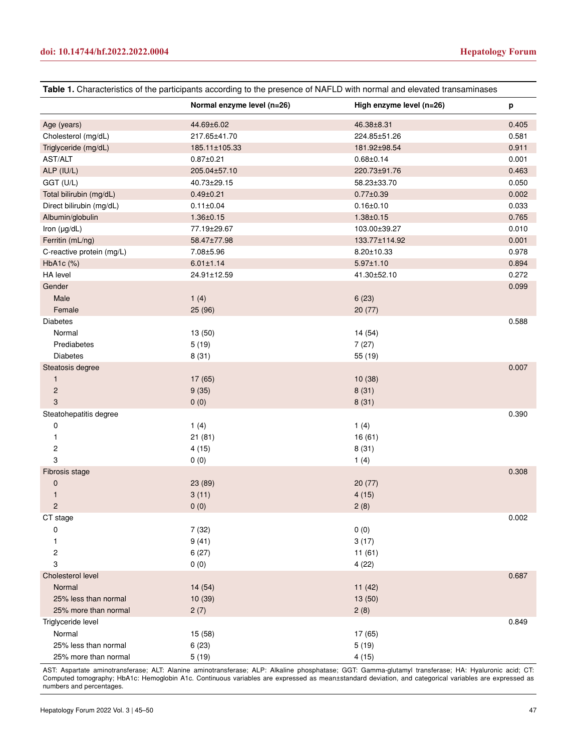| Table 1. Characteristics of the participants according to the presence of NAFLD with normal and elevated transaminases |                            |                          |       |
|------------------------------------------------------------------------------------------------------------------------|----------------------------|--------------------------|-------|
|                                                                                                                        | Normal enzyme level (n=26) | High enzyme level (n=26) | p     |
| Age (years)                                                                                                            | 44.69±6.02                 | 46.38±8.31               | 0.405 |
| Cholesterol (mg/dL)                                                                                                    | 217.65±41.70               | 224.85±51.26             | 0.581 |
| Triglyceride (mg/dL)                                                                                                   | 185.11±105.33              | 181.92±98.54             | 0.911 |
| AST/ALT                                                                                                                | $0.87 \pm 0.21$            | $0.68 \pm 0.14$          | 0.001 |
| ALP (IU/L)                                                                                                             | 205.04±57.10               | 220.73±91.76             | 0.463 |
| GGT (U/L)                                                                                                              | 40.73±29.15                | 58.23±33.70              | 0.050 |
| Total bilirubin (mg/dL)                                                                                                | $0.49 \pm 0.21$            | $0.77 \pm 0.39$          | 0.002 |
| Direct bilirubin (mg/dL)                                                                                               | $0.11 \pm 0.04$            | $0.16 \pm 0.10$          | 0.033 |
| Albumin/globulin                                                                                                       | $1.36 \pm 0.15$            | $1.38 + 0.15$            | 0.765 |
| Iron (µg/dL)                                                                                                           | 77.19±29.67                | 103.00±39.27             | 0.010 |
| Ferritin (mL/ng)                                                                                                       | 58.47±77.98                | 133.77±114.92            | 0.001 |
| C-reactive protein (mg/L)                                                                                              | 7.08±5.96                  | 8.20±10.33               | 0.978 |
| HbA1c (%)                                                                                                              | $6.01 \pm 1.14$            | $5.97 \pm 1.10$          | 0.894 |
| HA level                                                                                                               | 24.91±12.59                | 41.30±52.10              | 0.272 |
| Gender                                                                                                                 |                            |                          | 0.099 |
| Male                                                                                                                   | 1(4)                       | 6(23)                    |       |
| Female                                                                                                                 | 25(96)                     | 20(77)                   |       |
| Diabetes                                                                                                               |                            |                          | 0.588 |
| Normal                                                                                                                 | 13 (50)                    | 14 (54)                  |       |
| Prediabetes                                                                                                            | 5(19)                      | 7(27)                    |       |
| Diabetes                                                                                                               | 8(31)                      | 55 (19)                  |       |
| Steatosis degree                                                                                                       |                            |                          | 0.007 |
| $\mathbf{1}$                                                                                                           | 17 (65)                    | 10(38)                   |       |
| $\overline{c}$                                                                                                         | 9(35)                      | 8(31)                    |       |
| 3                                                                                                                      | 0(0)                       | 8(31)                    |       |
| Steatohepatitis degree                                                                                                 |                            |                          | 0.390 |
| $\pmb{0}$                                                                                                              | 1(4)                       | 1(4)                     |       |
| 1                                                                                                                      | 21(81)                     | 16(61)                   |       |
| 2                                                                                                                      | 4(15)                      | 8(31)                    |       |
| 3                                                                                                                      | 0(0)                       | 1(4)                     |       |
| Fibrosis stage                                                                                                         |                            |                          | 0.308 |
| $\mathbf 0$                                                                                                            | 23 (89)                    | 20(77)                   |       |
| 1                                                                                                                      | 3(11)                      | 4(15)                    |       |
| $\mathcal{P}$                                                                                                          | 0(0)                       | 2(8)                     |       |
| CT stage                                                                                                               |                            |                          | 0.002 |
| 0                                                                                                                      | 7(32)                      | 0(0)                     |       |
| 1                                                                                                                      | 9(41)                      | 3(17)                    |       |
| 2                                                                                                                      | 6(27)                      | 11(61)                   |       |
| 3                                                                                                                      | 0(0)                       | 4(22)                    |       |
| Cholesterol level                                                                                                      |                            |                          | 0.687 |
| Normal                                                                                                                 | 14(54)                     | 11(42)                   |       |
| 25% less than normal                                                                                                   | 10(39)                     | 13 (50)                  |       |
| 25% more than normal                                                                                                   | 2(7)                       | 2(8)                     |       |
| Triglyceride level                                                                                                     |                            |                          | 0.849 |
| Normal                                                                                                                 | 15 (58)                    | 17 (65)                  |       |
| 25% less than normal                                                                                                   | 6(23)                      | 5(19)                    |       |
| 25% more than normal                                                                                                   | 5(19)                      | 4(15)                    |       |

AST: Aspartate aminotransferase; ALT: Alanine aminotransferase; ALP: Alkaline phosphatase; GGT: Gamma-glutamyl transferase; HA: Hyaluronic acid; CT: Computed tomography; HbA1c: Hemoglobin A1c. Continuous variables are expressed as mean±standard deviation, and categorical variables are expressed as numbers and percentages.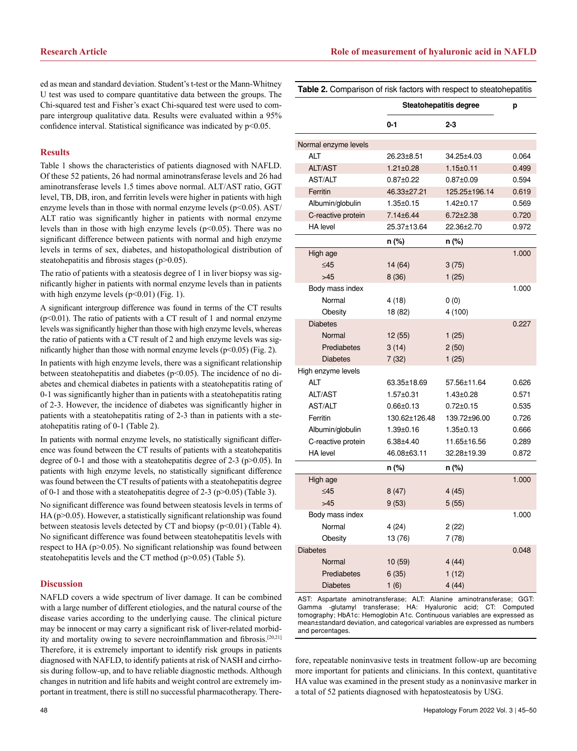ed as mean and standard deviation. Student's t-test or the Mann-Whitney U test was used to compare quantitative data between the groups. The Chi-squared test and Fisher's exact Chi-squared test were used to compare intergroup qualitative data. Results were evaluated within a 95% confidence interval. Statistical significance was indicated by p<0.05.

#### **Results**

Table 1 shows the characteristics of patients diagnosed with NAFLD. Of these 52 patients, 26 had normal aminotransferase levels and 26 had aminotransferase levels 1.5 times above normal. ALT/AST ratio, GGT level, TB, DB, iron, and ferritin levels were higher in patients with high enzyme levels than in those with normal enzyme levels  $(p<0.05)$ . AST/ ALT ratio was significantly higher in patients with normal enzyme levels than in those with high enzyme levels  $(p<0.05)$ . There was no significant difference between patients with normal and high enzyme levels in terms of sex, diabetes, and histopathological distribution of steatohepatitis and fibrosis stages (p>0.05).

The ratio of patients with a steatosis degree of 1 in liver biopsy was significantly higher in patients with normal enzyme levels than in patients with high enzyme levels  $(p<0.01)$  (Fig. 1).

A significant intergroup difference was found in terms of the CT results (p<0.01). The ratio of patients with a CT result of 1 and normal enzyme levels was significantly higher than those with high enzyme levels, whereas the ratio of patients with a CT result of 2 and high enzyme levels was significantly higher than those with normal enzyme levels  $(p<0.05)$  (Fig. 2).

In patients with high enzyme levels, there was a significant relationship between steatohepatitis and diabetes (p<0.05). The incidence of no diabetes and chemical diabetes in patients with a steatohepatitis rating of 0-1 was significantly higher than in patients with a steatohepatitis rating of 2-3. However, the incidence of diabetes was significantly higher in patients with a steatohepatitis rating of 2-3 than in patients with a steatohepatitis rating of 0-1 (Table 2).

In patients with normal enzyme levels, no statistically significant difference was found between the CT results of patients with a steatohepatitis degree of 0-1 and those with a steatohepatitis degree of 2-3 ( $p > 0.05$ ). In patients with high enzyme levels, no statistically significant difference was found between the CT results of patients with a steatohepatitis degree of 0-1 and those with a steatohepatitis degree of 2-3 (p>0.05) (Table 3).

No significant difference was found between steatosis levels in terms of  $HA$  ( $p$  $>$ 0.05). However, a statistically significant relationship was found between steatosis levels detected by CT and biopsy  $(p<0.01)$  (Table 4). No significant difference was found between steatohepatitis levels with respect to HA (p>0.05). No significant relationship was found between steatohepatitis levels and the CT method (p>0.05) (Table 5).

### **Discussion**

NAFLD covers a wide spectrum of liver damage. It can be combined with a large number of different etiologies, and the natural course of the disease varies according to the underlying cause. The clinical picture may be innocent or may carry a significant risk of liver-related morbidity and mortality owing to severe necroinflammation and fibrosis.<sup>[20,21]</sup> Therefore, it is extremely important to identify risk groups in patients diagnosed with NAFLD, to identify patients at risk of NASH and cirrhosis during follow-up, and to have reliable diagnostic methods. Although changes in nutrition and life habits and weight control are extremely important in treatment, there is still no successful pharmacotherapy. There-

| ٦<br>ı |  |
|--------|--|
| I<br>w |  |

| Table 2. Comparison of risk factors with respect to steatohepatitis |                               |                 |       |
|---------------------------------------------------------------------|-------------------------------|-----------------|-------|
|                                                                     | <b>Steatohepatitis degree</b> |                 | p     |
|                                                                     | $0 - 1$                       | $2 - 3$         |       |
| Normal enzyme levels                                                |                               |                 |       |
| <b>ALT</b>                                                          | 26.23±8.51                    | 34.25±4.03      | 0.064 |
| <b>ALT/AST</b>                                                      | $1.21 \pm 0.28$               | $1.15 \pm 0.11$ | 0.499 |
| AST/ALT                                                             | $0.87 \pm 0.22$               | $0.87 \pm 0.09$ | 0.594 |
| Ferritin                                                            | 46.33±27.21                   | 125.25±196.14   | 0.619 |
| Albumin/globulin                                                    | $1.35 \pm 0.15$               | $1.42 \pm 0.17$ | 0.569 |
| C-reactive protein                                                  | 7.14±6.44                     | $6.72 \pm 2.38$ | 0.720 |
| <b>HA</b> level                                                     | 25.37±13.64                   | 22.36±2.70      | 0.972 |
|                                                                     | n (%)                         | n (%)           |       |
| High age                                                            |                               |                 | 1.000 |
| $≤45$                                                               | 14 (64)                       | 3(75)           |       |
| >45                                                                 | 8(36)                         | 1(25)           |       |
| Body mass index                                                     |                               |                 | 1.000 |
| Normal                                                              | 4(18)                         | 0(0)            |       |
| Obesity                                                             | 18 (82)                       | 4(100)          |       |
| <b>Diabetes</b>                                                     |                               |                 | 0.227 |
| Normal                                                              | 12(55)                        | 1(25)           |       |
| Prediabetes                                                         | 3(14)                         | 2(50)           |       |
| <b>Diabetes</b>                                                     | 7(32)                         | 1(25)           |       |
| High enzyme levels                                                  |                               |                 |       |
| <b>ALT</b>                                                          | 63.35±18.69                   | 57.56±11.64     | 0.626 |
| <b>ALT/AST</b>                                                      | $1.57 \pm 0.31$               | 1.43±0.28       | 0.571 |
| <b>AST/ALT</b>                                                      | $0.66 \pm 0.13$               | $0.72 \pm 0.15$ | 0.535 |
| Ferritin                                                            | 130.62±126.48                 | 139.72±96.00    | 0.726 |
| Albumin/globulin                                                    | $1.39 \pm 0.16$               | $1.35 \pm 0.13$ | 0.666 |
| C-reactive protein                                                  | $6.38 + 4.40$                 | 11.65±16.56     | 0.289 |
| HA level                                                            | 46.08±63.11                   | 32.28±19.39     | 0.872 |
|                                                                     | n (%)                         | n (%)           |       |
| High age                                                            |                               |                 | 1.000 |
| $≤45$                                                               | 8(47)                         | 4(45)           |       |
| >45                                                                 | 9(53)                         | 5(55)           |       |
| Body mass index                                                     |                               |                 | 1.000 |
| Normal                                                              | 4(24)                         | 2(22)           |       |
| Obesity                                                             | 13 (76)                       | 7(78)           |       |
| <b>Diabetes</b>                                                     |                               |                 | 0.048 |
| Normal                                                              | 10 (59)                       | 4(44)           |       |
| Prediabetes                                                         | 6(35)                         | 1(12)           |       |
| <b>Diabetes</b>                                                     | 1(6)                          | 4(44)           |       |
|                                                                     |                               |                 |       |

AST: Aspartate aminotransferase; ALT: Alanine aminotransferase; GGT: Gamma -glutamyl transferase; HA: Hyaluronic acid; CT: Computed tomography; HbA1c: Hemoglobin A1c. Continuous variables are expressed as mean±standard deviation, and categorical variables are expressed as numbers and percentages.

fore, repeatable noninvasive tests in treatment follow-up are becoming more important for patients and clinicians. In this context, quantitative HA value was examined in the present study as a noninvasive marker in a total of 52 patients diagnosed with hepatosteatosis by USG.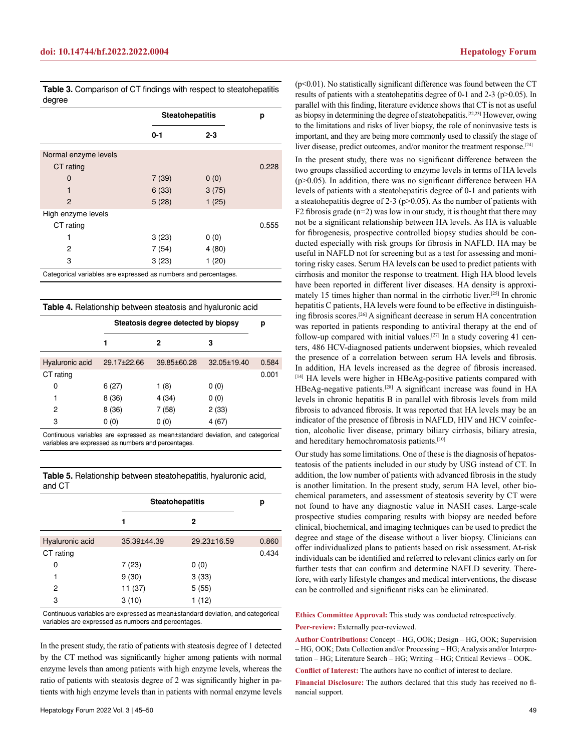|                      | <b>Steatohepatitis</b> |         | р     |
|----------------------|------------------------|---------|-------|
|                      | $0 - 1$                | $2 - 3$ |       |
| Normal enzyme levels |                        |         |       |
| CT rating            |                        |         | 0.228 |
| 0                    | 7(39)                  | 0(0)    |       |
| 1                    | 6(33)                  | 3(75)   |       |
| 2                    | 5(28)                  | 1(25)   |       |
| High enzyme levels   |                        |         |       |
| CT rating            |                        |         | 0.555 |
|                      | 3(23)                  | 0(0)    |       |
| 2                    | 7(54)                  | 4(80)   |       |
| 3                    | 3(23)                  | 1(20)   |       |

**Table 3.** Comparison of CT findings with respect to steatohepatitis degree

**Table 4.** Relationship between steatosis and hyaluronic acid

|                 | Steatosis degree detected by biopsy |             |             | р     |
|-----------------|-------------------------------------|-------------|-------------|-------|
|                 | 1                                   | 2           | 3           |       |
| Hyaluronic acid | 29.17±22.66                         | 39.85±60.28 | 32.05±19.40 | 0.584 |
| CT rating       |                                     |             |             | 0.001 |
| 0               | 6(27)                               | 1 $(8)$     | 0(0)        |       |
| 1               | 8(36)                               | 4(34)       | 0(0)        |       |
| 2               | 8(36)                               | 7 (58)      | 2(33)       |       |
| 3               | 0(0)                                | 0(0)        | 4 (67)      |       |

Continuous variables are expressed as mean±standard deviation, and categorical variables are expressed as numbers and percentages.

| Table 5. Relationship between steatohepatitis, hyaluronic acid, |  |
|-----------------------------------------------------------------|--|
| and CT                                                          |  |

|                 | <b>Steatohepatitis</b> |             | р     |
|-----------------|------------------------|-------------|-------|
|                 | 1                      | 2           |       |
|                 |                        |             |       |
| Hyaluronic acid | 35.39±44.39            | 29.23±16.59 | 0.860 |
| CT rating       |                        |             | 0.434 |
| 0               | 7(23)                  | 0(0)        |       |
| 1               | 9(30)                  | 3(33)       |       |
| 2               | 11 (37)                | 5(55)       |       |
| 3               | 3(10)                  | 1(12)       |       |
|                 |                        |             |       |

Continuous variables are expressed as mean±standard deviation, and categorical variables are expressed as numbers and percentages.

In the present study, the ratio of patients with steatosis degree of 1 detected by the CT method was significantly higher among patients with normal enzyme levels than among patients with high enzyme levels, whereas the ratio of patients with steatosis degree of 2 was significantly higher in patients with high enzyme levels than in patients with normal enzyme levels

 $(p<0.01)$ . No statistically significant difference was found between the CT results of patients with a steatohepatitis degree of 0-1 and 2-3 (p>0.05). In parallel with this finding, literature evidence shows that CT is not as useful as biopsy in determining the degree of steatohepatitis.[22,23] However, owing to the limitations and risks of liver biopsy, the role of noninvasive tests is important, and they are being more commonly used to classify the stage of liver disease, predict outcomes, and/or monitor the treatment response.<sup>[24]</sup>

In the present study, there was no significant difference between the two groups classified according to enzyme levels in terms of HA levels  $(p>0.05)$ . In addition, there was no significant difference between HA levels of patients with a steatohepatitis degree of 0-1 and patients with a steatohepatitis degree of 2-3 ( $p$  $>$ 0.05). As the number of patients with F2 fibrosis grade  $(n=2)$  was low in our study, it is thought that there may not be a significant relationship between HA levels. As HA is valuable for fibrogenesis, prospective controlled biopsy studies should be conducted especially with risk groups for fibrosis in NAFLD. HA may be useful in NAFLD not for screening but as a test for assessing and monitoring risky cases. Serum HA levels can be used to predict patients with cirrhosis and monitor the response to treatment. High HA blood levels have been reported in different liver diseases. HA density is approximately 15 times higher than normal in the cirrhotic liver.[25] In chronic hepatitis C patients, HA levels were found to be effective in distinguishing fibrosis scores.[26] A significant decrease in serum HA concentration was reported in patients responding to antiviral therapy at the end of follow-up compared with initial values.[27] In a study covering 41 centers, 486 HCV-diagnosed patients underwent biopsies, which revealed the presence of a correlation between serum HA levels and fibrosis. In addition, HA levels increased as the degree of fibrosis increased. [14] HA levels were higher in HBeAg-positive patients compared with HBeAg-negative patients.[28] A significant increase was found in HA levels in chronic hepatitis B in parallel with fibrosis levels from mild fibrosis to advanced fibrosis. It was reported that HA levels may be an indicator of the presence of fibrosis in NAFLD, HIV and HCV coinfection, alcoholic liver disease, primary biliary cirrhosis, biliary atresia, and hereditary hemochromatosis patients.[10]

Our study has some limitations. One of these is the diagnosis of hepatosteatosis of the patients included in our study by USG instead of CT. In addition, the low number of patients with advanced fibrosis in the study is another limitation. In the present study, serum HA level, other biochemical parameters, and assessment of steatosis severity by CT were not found to have any diagnostic value in NASH cases. Large-scale prospective studies comparing results with biopsy are needed before clinical, biochemical, and imaging techniques can be used to predict the degree and stage of the disease without a liver biopsy. Clinicians can offer individualized plans to patients based on risk assessment. At-risk individuals can be identified and referred to relevant clinics early on for further tests that can confirm and determine NAFLD severity. Therefore, with early lifestyle changes and medical interventions, the disease can be controlled and significant risks can be eliminated.

**Ethics Committee Approval:** This study was conducted retrospectively. **Peer-review:** Externally peer-reviewed.

**Author Contributions:** Concept – HG, OOK; Design – HG, OOK; Supervision – HG, OOK; Data Collection and/or Processing – HG; Analysis and/or Interpretation – HG; Literature Search – HG; Writing – HG; Critical Reviews – OOK.

**Conflict of Interest:** The authors have no conflict of interest to declare.

**Financial Disclosure:** The authors declared that this study has received no financial support.